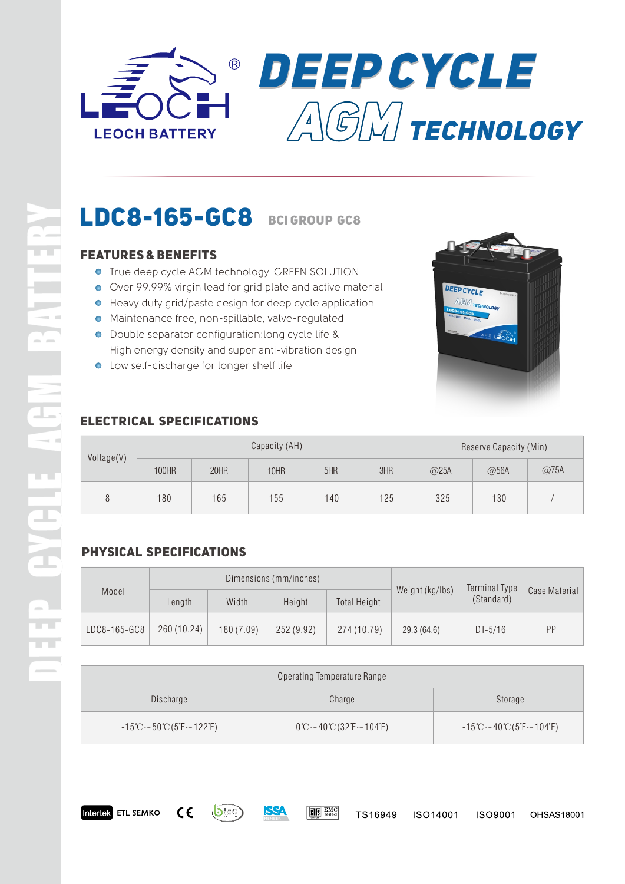



# **LDC8-165-GC8 BCIGROUP GC8**

### **Features & Benefits**

- **.** True deep cycle AGM technology-GREEN SOLUTION
- Over 99.99% virgin lead for grid plate and active material
- Heavy duty grid/paste design for deep cycle application
- Maintenance free, non-spillable, valve-regulated
- Double separator configuration:long cycle life & High energy density and super anti-vibration design
- **.** Low self-discharge for longer shelf life



### **Electrical Specifications**

| Voltage(V)   | Capacity (AH) |      |      |     |     | Reserve Capacity (Min) |      |      |
|--------------|---------------|------|------|-----|-----|------------------------|------|------|
|              | 100HR         | 20HR | 10HR | 5HR | 3HR | @25A                   | @56A | @75A |
| $\mathsf{R}$ | 180           | 165  | 155  | 140 | 125 | 325                    | 130  |      |

### **Physical Specifications**

| Model        | Dimensions (mm/inches) |            |            |                     |                 | Terminal Type |               |
|--------------|------------------------|------------|------------|---------------------|-----------------|---------------|---------------|
|              | Length                 | Width      | Height     | <b>Total Height</b> | Weight (kg/lbs) | (Standard)    | Case Material |
| LDC8-165-GC8 | 260 (10.24)            | 180 (7.09) | 252 (9.92) | 274 (10.79)         | 29.3(64.6)      | $DT-5/16$     | PP            |

| Operating Temperature Range                                                            |                                                                      |                                                                                 |  |  |  |  |
|----------------------------------------------------------------------------------------|----------------------------------------------------------------------|---------------------------------------------------------------------------------|--|--|--|--|
| Discharge                                                                              | Charge                                                               | Storage                                                                         |  |  |  |  |
| $-15^{\circ}\text{C} \sim 50^{\circ}\text{C}$ (5 $\text{F} \sim 122^{\circ}\text{F}$ ) | $0^{\circ}$ C ~ 40 $^{\circ}$ C (32 $^{\circ}$ F ~ 104 $^{\circ}$ F) | $-15^{\circ}$ C $\sim$ 40 $^{\circ}$ C (5 $^{\circ}$ F $\sim$ 104 $^{\circ}$ F) |  |  |  |  |

 $\boxed{\mathbf{R}}$   $\boxed{\mathbf{S}}$   $\boxed{\text{EMC}}$ 



SSA